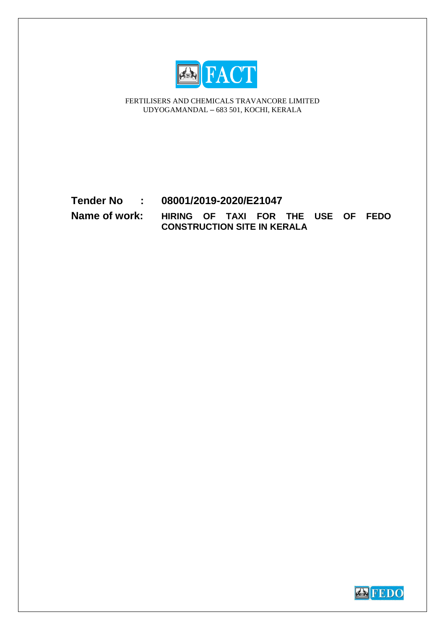

FERTILISERS AND CHEMICALS TRAVANCORE LIMITED UDYOGAMANDAL – 683 501, KOCHI, KERALA

# **Tender No : 08001/2019-2020/E21047**

**Name of work: HIRING OF TAXI FOR THE USE OF FEDO CONSTRUCTION SITE IN KERALA**

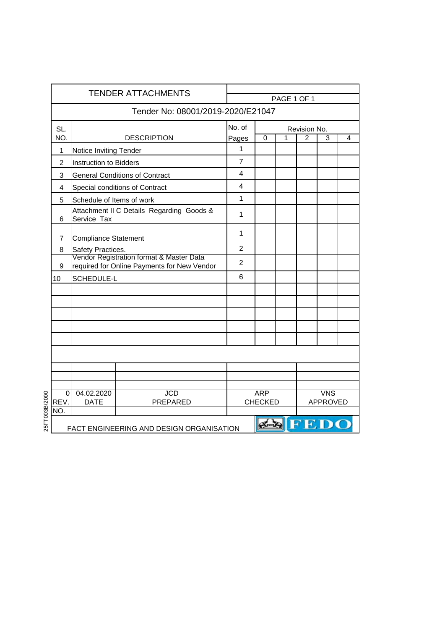| <b>TENDER ATTACHMENTS</b> |                               |                                                                                         |                | PAGE 1 OF 1    |   |                |                 |   |
|---------------------------|-------------------------------|-----------------------------------------------------------------------------------------|----------------|----------------|---|----------------|-----------------|---|
|                           |                               | Tender No: 08001/2019-2020/E21047                                                       |                |                |   |                |                 |   |
| SL.                       |                               |                                                                                         | No. of         |                |   | Revision No.   |                 |   |
| NO.                       |                               | <b>DESCRIPTION</b>                                                                      | Pages          | 0              | 1 | $\overline{2}$ | 3               | 4 |
| 1                         | Notice Inviting Tender        |                                                                                         | $\mathbf{1}$   |                |   |                |                 |   |
| 2                         | <b>Instruction to Bidders</b> |                                                                                         | $\overline{7}$ |                |   |                |                 |   |
| 3                         |                               | <b>General Conditions of Contract</b>                                                   | 4              |                |   |                |                 |   |
| 4                         |                               | Special conditions of Contract                                                          | 4              |                |   |                |                 |   |
| 5                         | Schedule of Items of work     |                                                                                         | $\mathbf{1}$   |                |   |                |                 |   |
| 6                         | Service Tax                   | Attachment II C Details Regarding Goods &                                               | 1              |                |   |                |                 |   |
| 7                         | <b>Compliance Statement</b>   | $\mathbf{1}$                                                                            |                |                |   |                |                 |   |
| 8                         | Safety Practices.             |                                                                                         | $\overline{2}$ |                |   |                |                 |   |
| 9                         |                               | Vendor Registration format & Master Data<br>required for Online Payments for New Vendor | 2              |                |   |                |                 |   |
| 10                        | SCHEDULE-L                    |                                                                                         | 6              |                |   |                |                 |   |
|                           |                               |                                                                                         |                |                |   |                |                 |   |
|                           |                               |                                                                                         |                |                |   |                |                 |   |
|                           |                               |                                                                                         |                |                |   |                |                 |   |
|                           |                               |                                                                                         |                |                |   |                |                 |   |
|                           |                               |                                                                                         |                |                |   |                |                 |   |
|                           |                               |                                                                                         |                |                |   |                |                 |   |
|                           |                               |                                                                                         |                |                |   |                |                 |   |
|                           |                               |                                                                                         |                |                |   |                |                 |   |
| 0                         | 04.02.2020                    | <b>JCD</b>                                                                              |                | <b>ARP</b>     |   |                | <b>VNS</b>      |   |
| REV.                      | <b>DATE</b>                   | <b>PREPARED</b>                                                                         |                | <b>CHECKED</b> |   |                | <b>APPROVED</b> |   |
| NO.                       |                               |                                                                                         |                |                |   |                |                 |   |
|                           |                               | FACT ENGINEERING AND DESIGN ORGANISATION                                                |                |                |   |                | <b>ESTED</b> O  |   |

25FT003B/2000 25FT003B/2000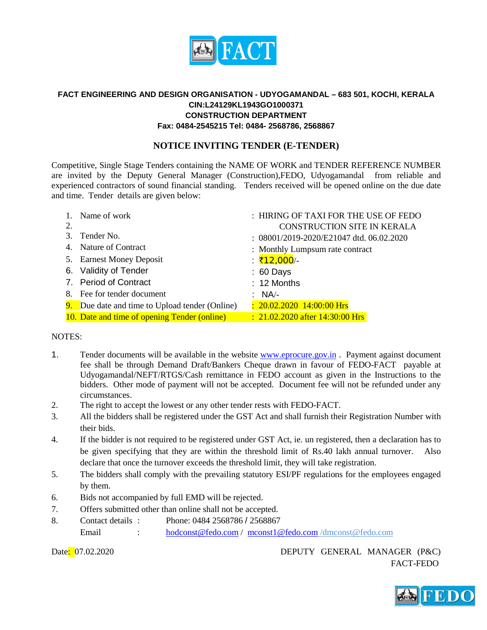

# **FACT ENGINEERING AND DESIGN ORGANISATION - UDYOGAMANDAL – 683 501, KOCHI, KERALA CIN:L24129KL1943GO1000371 CONSTRUCTION DEPARTMENT Fax: 0484-2545215 Tel: 0484- 2568786, 2568867**

# **NOTICE INVITING TENDER (E-TENDER)**

Competitive, Single Stage Tenders containing the NAME OF WORK and TENDER REFERENCE NUMBER are invited by the Deputy General Manager (Construction),FEDO, Udyogamandal from reliable and experienced contractors of sound financial standing. Tenders received will be opened online on the due date and time. Tender details are given below:

|    | Name of work                                   | : HIRING OF TAXI FOR THE USE OF FEDO       |
|----|------------------------------------------------|--------------------------------------------|
| 2. |                                                | CONSTRUCTION SITE IN KERALA                |
| 3. | Tender No.                                     | : 08001/2019-2020/E21047 dtd. 06.02.2020   |
|    | 4. Nature of Contract                          | : Monthly Lumpsum rate contract            |
|    | 5. Earnest Money Deposit                       | <u>:</u> ₹12,000⁄-                         |
|    | 6. Validity of Tender                          | $: 60$ Days                                |
|    | 7. Period of Contract                          | : 12 Months                                |
|    | 8. Fee for tender document                     | : $NA/-$                                   |
|    | 9. Due date and time to Upload tender (Online) | $: 20.02.2020$ 14:00:00 Hrs                |
|    | 10. Date and time of opening Tender (online)   | $\therefore$ 21.02.2020 after 14:30:00 Hrs |

#### NOTES:

- 1. Tender documents will be available in the website [www.eprocure.gov.in](http://www.eprocure.gov.in/) . Payment against document fee shall be through Demand Draft/Bankers Cheque drawn in favour of FEDO-FACT payable at Udyogamandal/NEFT/RTGS/Cash remittance in FEDO account as given in the Instructions to the bidders. Other mode of payment will not be accepted. Document fee will not be refunded under any circumstances.
- 2. The right to accept the lowest or any other tender rests with FEDO-FACT.
- 3. All the bidders shall be registered under the GST Act and shall furnish their Registration Number with their bids.
- 4. If the bidder is not required to be registered under GST Act, ie. un registered, then a declaration has to be given specifying that they are within the threshold limit of Rs.40 lakh annual turnover. Also declare that once the turnover exceeds the threshold limit, they will take registration.
- 5. The bidders shall comply with the prevailing statutory ESI/PF regulations for the employees engaged by them.
- 6. Bids not accompanied by full EMD will be rejected.
- 7. Offers submitted other than online shall not be accepted.
- 8. Contact details : Phone: 0484 2568786 / 2568867 Email : [hodconst@fedo.com](mailto:hodconst@fedo.com) / [mconst1@fedo.com](mailto:mconst1@fedo.com) /dmconst@fedo.com

Date<mark>: 07.02.2020 DEPUTY GENERAL MANAGER (P&C)</mark> FACT-FEDO

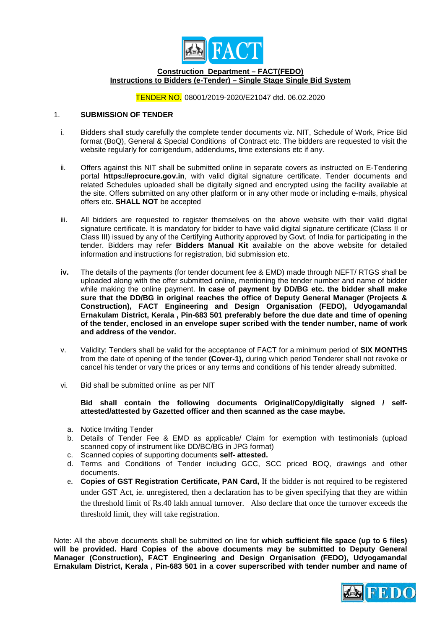

#### **Construction Department – FACT(FEDO) Instructions to Bidders (e-Tender) – Single Stage Single Bid System**

#### TENDER NO. 08001/2019-2020/E21047 dtd. 06.02.2020

#### 1. **SUBMISSION OF TENDER**

- i. Bidders shall study carefully the complete tender documents viz. NIT, Schedule of Work, Price Bid format (BoQ), General & Special Conditions of Contract etc. The bidders are requested to visit the website regularly for corrigendum, addendums, time extensions etc if any.
- ii. Offers against this NIT shall be submitted online in separate covers as instructed on E-Tendering portal **https://eprocure.gov.in**, with valid digital signature certificate. Tender documents and related Schedules uploaded shall be digitally signed and encrypted using the facility available at the site. Offers submitted on any other platform or in any other mode or including e-mails, physical offers etc. **SHALL NOT** be accepted
- iii. All bidders are requested to register themselves on the above website with their valid digital signature certificate. It is mandatory for bidder to have valid digital signature certificate (Class II or Class III) issued by any of the Certifying Authority approved by Govt. of India for participating in the tender. Bidders may refer **Bidders Manual Kit** available on the above website for detailed information and instructions for registration, bid submission etc.
- **iv.** The details of the payments (for tender document fee & EMD) made through NEFT/ RTGS shall be uploaded along with the offer submitted online, mentioning the tender number and name of bidder while making the online payment. **In case of payment by DD/BG etc. the bidder shall make sure that the DD/BG in original reaches the office of Deputy General Manager (Projects & Construction), FACT Engineering and Design Organisation (FEDO), Udyogamandal Ernakulam District, Kerala , Pin-683 501 preferably before the due date and time of opening of the tender, enclosed in an envelope super scribed with the tender number, name of work and address of the vendor.**
- v. Validity: Tenders shall be valid for the acceptance of FACT for a minimum period of **SIX MONTHS** from the date of opening of the tender **(Cover-1),** during which period Tenderer shall not revoke or cancel his tender or vary the prices or any terms and conditions of his tender already submitted.
- vi. Bid shall be submitted online as per NIT

#### **Bid shall contain the following documents Original/Copy/digitally signed / selfattested/attested by Gazetted officer and then scanned as the case maybe.**

- a. Notice Inviting Tender
- b. Details of Tender Fee & EMD as applicable/ Claim for exemption with testimonials (upload scanned copy of instrument like DD/BC/BG in JPG format)
- c. Scanned copies of supporting documents **self- attested.**
- d. Terms and Conditions of Tender including GCC, SCC priced BOQ, drawings and other documents.
- e. **Copies of GST Registration Certificate, PAN Card,** If the bidder is not required to be registered under GST Act, ie. unregistered, then a declaration has to be given specifying that they are within the threshold limit of Rs.40 lakh annual turnover. Also declare that once the turnover exceeds the threshold limit, they will take registration.

Note: All the above documents shall be submitted on line for **which sufficient file space (up to 6 files) will be provided. Hard Copies of the above documents may be submitted to Deputy General Manager (Construction), FACT Engineering and Design Organisation (FEDO), Udyogamandal Ernakulam District, Kerala , Pin-683 501 in a cover superscribed with tender number and name of** 

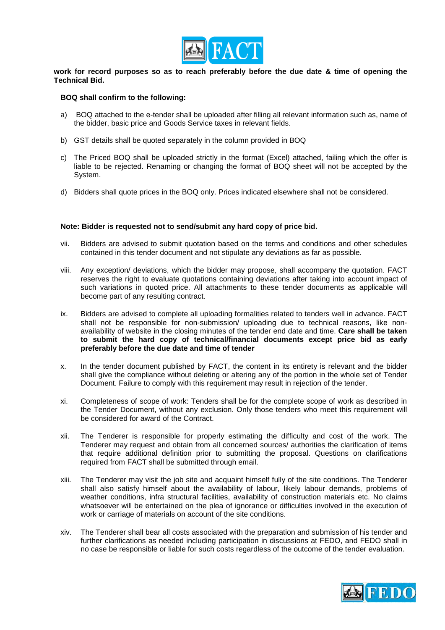

**work for record purposes so as to reach preferably before the due date & time of opening the Technical Bid.** 

#### **BOQ shall confirm to the following:**

- a) BOQ attached to the e-tender shall be uploaded after filling all relevant information such as, name of the bidder, basic price and Goods Service taxes in relevant fields.
- b) GST details shall be quoted separately in the column provided in BOQ
- c) The Priced BOQ shall be uploaded strictly in the format (Excel) attached, failing which the offer is liable to be rejected. Renaming or changing the format of BOQ sheet will not be accepted by the System.
- d) Bidders shall quote prices in the BOQ only. Prices indicated elsewhere shall not be considered.

#### **Note: Bidder is requested not to send/submit any hard copy of price bid.**

- vii. Bidders are advised to submit quotation based on the terms and conditions and other schedules contained in this tender document and not stipulate any deviations as far as possible.
- viii. Any exception/ deviations, which the bidder may propose, shall accompany the quotation. FACT reserves the right to evaluate quotations containing deviations after taking into account impact of such variations in quoted price. All attachments to these tender documents as applicable will become part of any resulting contract.
- ix. Bidders are advised to complete all uploading formalities related to tenders well in advance. FACT shall not be responsible for non-submission/ uploading due to technical reasons, like nonavailability of website in the closing minutes of the tender end date and time. **Care shall be taken to submit the hard copy of technical/financial documents except price bid as early preferably before the due date and time of tender**
- x. In the tender document published by FACT, the content in its entirety is relevant and the bidder shall give the compliance without deleting or altering any of the portion in the whole set of Tender Document. Failure to comply with this requirement may result in rejection of the tender.
- xi. Completeness of scope of work: Tenders shall be for the complete scope of work as described in the Tender Document, without any exclusion. Only those tenders who meet this requirement will be considered for award of the Contract.
- xii. The Tenderer is responsible for properly estimating the difficulty and cost of the work. The Tenderer may request and obtain from all concerned sources/ authorities the clarification of items that require additional definition prior to submitting the proposal. Questions on clarifications required from FACT shall be submitted through email.
- xiii. The Tenderer may visit the job site and acquaint himself fully of the site conditions. The Tenderer shall also satisfy himself about the availability of labour, likely labour demands, problems of weather conditions, infra structural facilities, availability of construction materials etc. No claims whatsoever will be entertained on the plea of ignorance or difficulties involved in the execution of work or carriage of materials on account of the site conditions.
- xiv. The Tenderer shall bear all costs associated with the preparation and submission of his tender and further clarifications as needed including participation in discussions at FEDO, and FEDO shall in no case be responsible or liable for such costs regardless of the outcome of the tender evaluation.

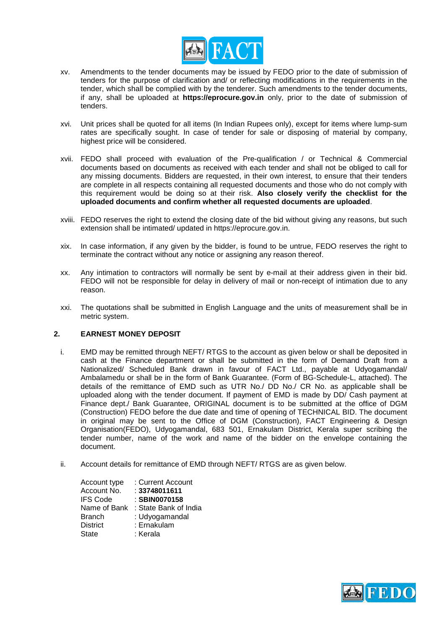

- xv. Amendments to the tender documents may be issued by FEDO prior to the date of submission of tenders for the purpose of clarification and/ or reflecting modifications in the requirements in the tender, which shall be complied with by the tenderer. Such amendments to the tender documents, if any, shall be uploaded at **https://eprocure.gov.in** only, prior to the date of submission of tenders.
- xvi. Unit prices shall be quoted for all items (In Indian Rupees only), except for items where lump-sum rates are specifically sought. In case of tender for sale or disposing of material by company, highest price will be considered.
- xvii. FEDO shall proceed with evaluation of the Pre-qualification / or Technical & Commercial documents based on documents as received with each tender and shall not be obliged to call for any missing documents. Bidders are requested, in their own interest, to ensure that their tenders are complete in all respects containing all requested documents and those who do not comply with this requirement would be doing so at their risk. **Also closely verify the checklist for the uploaded documents and confirm whether all requested documents are uploaded**.
- xviii. FEDO reserves the right to extend the closing date of the bid without giving any reasons, but such extension shall be intimated/ updated in https://eprocure.gov.in.
- xix. In case information, if any given by the bidder, is found to be untrue, FEDO reserves the right to terminate the contract without any notice or assigning any reason thereof.
- xx. Any intimation to contractors will normally be sent by e-mail at their address given in their bid. FEDO will not be responsible for delay in delivery of mail or non-receipt of intimation due to any reason.
- xxi. The quotations shall be submitted in English Language and the units of measurement shall be in metric system.

#### **2. EARNEST MONEY DEPOSIT**

- i. EMD may be remitted through NEFT/ RTGS to the account as given below or shall be deposited in cash at the Finance department or shall be submitted in the form of Demand Draft from a Nationalized/ Scheduled Bank drawn in favour of FACT Ltd., payable at Udyogamandal/ Ambalamedu or shall be in the form of Bank Guarantee. (Form of BG-Schedule-L, attached). The details of the remittance of EMD such as UTR No./ DD No./ CR No. as applicable shall be uploaded along with the tender document. If payment of EMD is made by DD/ Cash payment at Finance dept./ Bank Guarantee, ORIGINAL document is to be submitted at the office of DGM (Construction) FEDO before the due date and time of opening of TECHNICAL BID. The document in original may be sent to the Office of DGM (Construction), FACT Engineering & Design Organisation(FEDO), Udyogamandal, 683 501, Ernakulam District, Kerala super scribing the tender number, name of the work and name of the bidder on the envelope containing the document.
- ii. Account details for remittance of EMD through NEFT/ RTGS are as given below.

| Account type    | : Current Account     |
|-----------------|-----------------------|
| Account No.     | : 33748011611         |
| <b>IFS Code</b> | : SBIN0070158         |
| Name of Bank    | : State Bank of India |
| <b>Branch</b>   | : Udyogamandal        |
| <b>District</b> | : Ernakulam           |
| <b>State</b>    | : Kerala              |

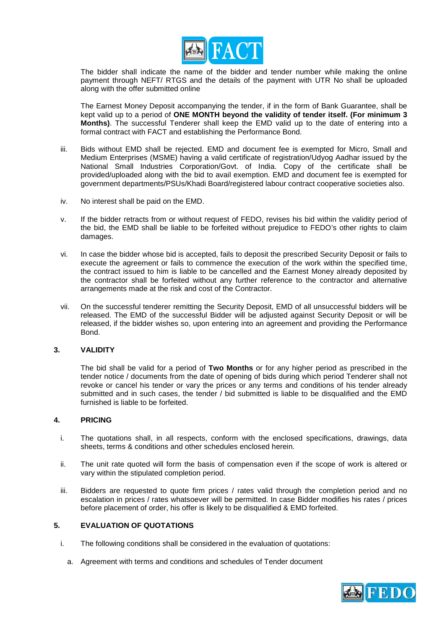

The bidder shall indicate the name of the bidder and tender number while making the online payment through NEFT/ RTGS and the details of the payment with UTR No shall be uploaded along with the offer submitted online

The Earnest Money Deposit accompanying the tender, if in the form of Bank Guarantee, shall be kept valid up to a period of **ONE MONTH beyond the validity of tender itself. (For minimum 3 Months)**. The successful Tenderer shall keep the EMD valid up to the date of entering into a formal contract with FACT and establishing the Performance Bond.

- iii. Bids without EMD shall be rejected. EMD and document fee is exempted for Micro, Small and Medium Enterprises (MSME) having a valid certificate of registration/Udyog Aadhar issued by the National Small Industries Corporation/Govt. of India. Copy of the certificate shall be provided/uploaded along with the bid to avail exemption. EMD and document fee is exempted for government departments/PSUs/Khadi Board/registered labour contract cooperative societies also.
- iv. No interest shall be paid on the EMD.
- v. If the bidder retracts from or without request of FEDO, revises his bid within the validity period of the bid, the EMD shall be liable to be forfeited without prejudice to FEDO's other rights to claim damages.
- vi. In case the bidder whose bid is accepted, fails to deposit the prescribed Security Deposit or fails to execute the agreement or fails to commence the execution of the work within the specified time, the contract issued to him is liable to be cancelled and the Earnest Money already deposited by the contractor shall be forfeited without any further reference to the contractor and alternative arrangements made at the risk and cost of the Contractor.
- vii. On the successful tenderer remitting the Security Deposit, EMD of all unsuccessful bidders will be released. The EMD of the successful Bidder will be adjusted against Security Deposit or will be released, if the bidder wishes so, upon entering into an agreement and providing the Performance Bond.

#### **3. VALIDITY**

The bid shall be valid for a period of **Two Months** or for any higher period as prescribed in the tender notice / documents from the date of opening of bids during which period Tenderer shall not revoke or cancel his tender or vary the prices or any terms and conditions of his tender already submitted and in such cases, the tender / bid submitted is liable to be disqualified and the EMD furnished is liable to be forfeited.

#### **4. PRICING**

- i. The quotations shall, in all respects, conform with the enclosed specifications, drawings, data sheets, terms & conditions and other schedules enclosed herein.
- ii. The unit rate quoted will form the basis of compensation even if the scope of work is altered or vary within the stipulated completion period.
- iii. Bidders are requested to quote firm prices / rates valid through the completion period and no escalation in prices / rates whatsoever will be permitted. In case Bidder modifies his rates / prices before placement of order, his offer is likely to be disqualified & EMD forfeited.

#### **5. EVALUATION OF QUOTATIONS**

- i. The following conditions shall be considered in the evaluation of quotations:
	- a. Agreement with terms and conditions and schedules of Tender document

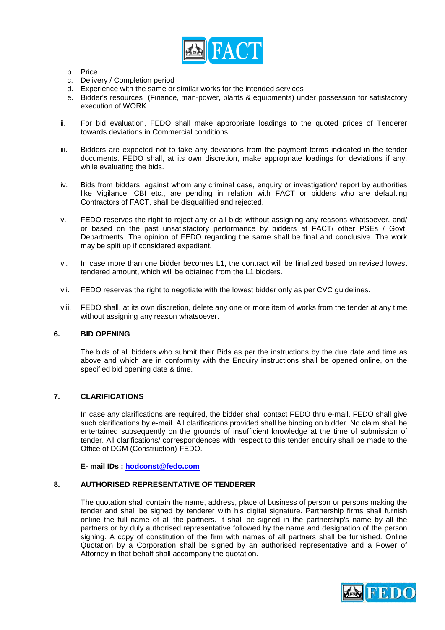

- b. Price
- c. Delivery / Completion period
- d. Experience with the same or similar works for the intended services
- e. Bidder's resources (Finance, man-power, plants & equipments) under possession for satisfactory execution of WORK.
- ii. For bid evaluation, FEDO shall make appropriate loadings to the quoted prices of Tenderer towards deviations in Commercial conditions.
- iii. Bidders are expected not to take any deviations from the payment terms indicated in the tender documents. FEDO shall, at its own discretion, make appropriate loadings for deviations if any, while evaluating the bids.
- iv. Bids from bidders, against whom any criminal case, enquiry or investigation/ report by authorities like Vigilance, CBI etc., are pending in relation with FACT or bidders who are defaulting Contractors of FACT, shall be disqualified and rejected.
- v. FEDO reserves the right to reject any or all bids without assigning any reasons whatsoever, and/ or based on the past unsatisfactory performance by bidders at FACT/ other PSEs / Govt. Departments. The opinion of FEDO regarding the same shall be final and conclusive. The work may be split up if considered expedient.
- vi. In case more than one bidder becomes L1, the contract will be finalized based on revised lowest tendered amount, which will be obtained from the L1 bidders.
- vii. FEDO reserves the right to negotiate with the lowest bidder only as per CVC guidelines.
- viii. FEDO shall, at its own discretion, delete any one or more item of works from the tender at any time without assigning any reason whatsoever.

#### **6. BID OPENING**

The bids of all bidders who submit their Bids as per the instructions by the due date and time as above and which are in conformity with the Enquiry instructions shall be opened online, on the specified bid opening date & time.

#### **7. CLARIFICATIONS**

In case any clarifications are required, the bidder shall contact FEDO thru e-mail. FEDO shall give such clarifications by e-mail. All clarifications provided shall be binding on bidder. No claim shall be entertained subsequently on the grounds of insufficient knowledge at the time of submission of tender. All clarifications/ correspondences with respect to this tender enquiry shall be made to the Office of DGM (Construction)-FEDO.

**E- mail IDs : [hodconst@fedo.com](mailto:hodconst@fedo.com)**

#### **8. AUTHORISED REPRESENTATIVE OF TENDERER**

The quotation shall contain the name, address, place of business of person or persons making the tender and shall be signed by tenderer with his digital signature. Partnership firms shall furnish online the full name of all the partners. It shall be signed in the partnership's name by all the partners or by duly authorised representative followed by the name and designation of the person signing. A copy of constitution of the firm with names of all partners shall be furnished. Online Quotation by a Corporation shall be signed by an authorised representative and a Power of Attorney in that behalf shall accompany the quotation.

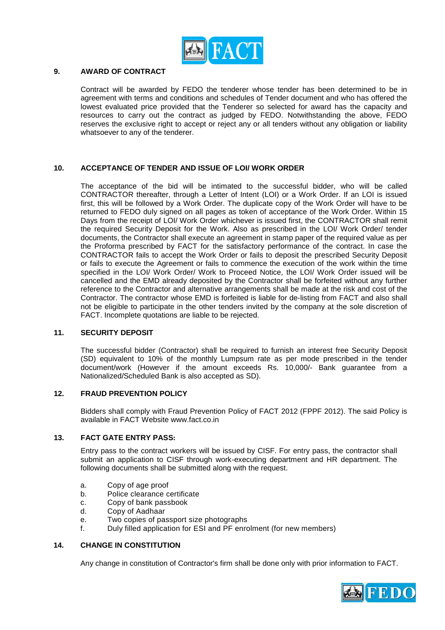

#### **9. AWARD OF CONTRACT**

Contract will be awarded by FEDO the tenderer whose tender has been determined to be in agreement with terms and conditions and schedules of Tender document and who has offered the lowest evaluated price provided that the Tenderer so selected for award has the capacity and resources to carry out the contract as judged by FEDO. Notwithstanding the above, FEDO reserves the exclusive right to accept or reject any or all tenders without any obligation or liability whatsoever to any of the tenderer.

#### **10. ACCEPTANCE OF TENDER AND ISSUE OF LOI/ WORK ORDER**

The acceptance of the bid will be intimated to the successful bidder, who will be called CONTRACTOR thereafter, through a Letter of Intent (LOI) or a Work Order. If an LOI is issued first, this will be followed by a Work Order. The duplicate copy of the Work Order will have to be returned to FEDO duly signed on all pages as token of acceptance of the Work Order. Within 15 Days from the receipt of LOI/ Work Order whichever is issued first, the CONTRACTOR shall remit the required Security Deposit for the Work. Also as prescribed in the LOI/ Work Order/ tender documents, the Contractor shall execute an agreement in stamp paper of the required value as per the Proforma prescribed by FACT for the satisfactory performance of the contract. In case the CONTRACTOR fails to accept the Work Order or fails to deposit the prescribed Security Deposit or fails to execute the Agreement or fails to commence the execution of the work within the time specified in the LOI/ Work Order/ Work to Proceed Notice, the LOI/ Work Order issued will be cancelled and the EMD already deposited by the Contractor shall be forfeited without any further reference to the Contractor and alternative arrangements shall be made at the risk and cost of the Contractor. The contractor whose EMD is forfeited is liable for de-listing from FACT and also shall not be eligible to participate in the other tenders invited by the company at the sole discretion of FACT. Incomplete quotations are liable to be rejected.

#### **11. SECURITY DEPOSIT**

The successful bidder (Contractor) shall be required to furnish an interest free Security Deposit (SD) equivalent to 10% of the monthly Lumpsum rate as per mode prescribed in the tender document/work (However if the amount exceeds Rs. 10,000/- Bank guarantee from a Nationalized/Scheduled Bank is also accepted as SD).

#### **12. FRAUD PREVENTION POLICY**

Bidders shall comply with Fraud Prevention Policy of FACT 2012 (FPPF 2012). The said Policy is available in FACT Website [www.fact.co.in](http://www.fact.co.in/)

#### **13. FACT GATE ENTRY PASS:**

Entry pass to the contract workers will be issued by CISF. For entry pass, the contractor shall submit an application to CISF through work-executing department and HR department. The following documents shall be submitted along with the request.

- a. Copy of age proof
- b. Police clearance certificate<br>c. Copy of bank passbook
- Copy of bank passbook
- d. Copy of Aadhaar
- e. Two copies of passport size photographs<br>f Duly filled application for ESI and PE enro
- Duly filled application for ESI and PF enrolment (for new members)

#### **14. CHANGE IN CONSTITUTION**

Any change in constitution of Contractor's firm shall be done only with prior information to FACT.

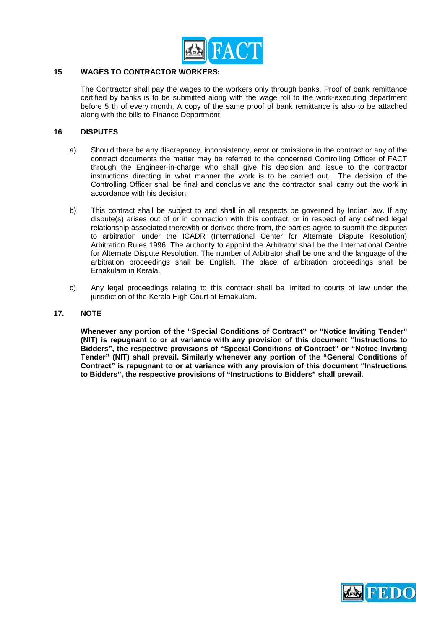

#### **15 WAGES TO CONTRACTOR WORKERS:**

The Contractor shall pay the wages to the workers only through banks. Proof of bank remittance certified by banks is to be submitted along with the wage roll to the work-executing department before 5 th of every month. A copy of the same proof of bank remittance is also to be attached along with the bills to Finance Department

#### **16 DISPUTES**

- a) Should there be any discrepancy, inconsistency, error or omissions in the contract or any of the contract documents the matter may be referred to the concerned Controlling Officer of FACT through the Engineer-in-charge who shall give his decision and issue to the contractor instructions directing in what manner the work is to be carried out. The decision of the Controlling Officer shall be final and conclusive and the contractor shall carry out the work in accordance with his decision.
- b) This contract shall be subject to and shall in all respects be governed by Indian law. If any dispute(s) arises out of or in connection with this contract, or in respect of any defined legal relationship associated therewith or derived there from, the parties agree to submit the disputes to arbitration under the ICADR (International Center for Alternate Dispute Resolution) Arbitration Rules 1996. The authority to appoint the Arbitrator shall be the International Centre for Alternate Dispute Resolution. The number of Arbitrator shall be one and the language of the arbitration proceedings shall be English. The place of arbitration proceedings shall be Ernakulam in Kerala.
- c) Any legal proceedings relating to this contract shall be limited to courts of law under the jurisdiction of the Kerala High Court at Ernakulam.

#### **17. NOTE**

**Whenever any portion of the "Special Conditions of Contract" or "Notice Inviting Tender" (NIT) is repugnant to or at variance with any provision of this document "Instructions to Bidders", the respective provisions of "Special Conditions of Contract" or "Notice Inviting Tender" (NIT) shall prevail. Similarly whenever any portion of the "General Conditions of Contract" is repugnant to or at variance with any provision of this document "Instructions to Bidders", the respective provisions of "Instructions to Bidders" shall prevail**.

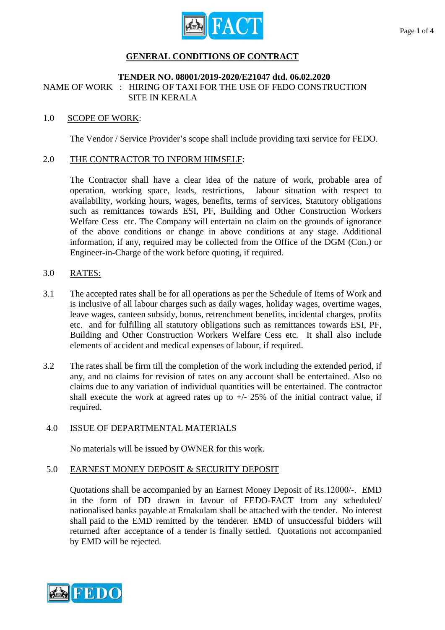

# **GENERAL CONDITIONS OF CONTRACT**

## **TENDER NO. 08001/2019-2020/E21047 dtd. 06.02.2020**

NAME OF WORK : HIRING OF TAXI FOR THE USE OF FEDO CONSTRUCTION SITE IN KERALA

## 1.0 SCOPE OF WORK:

The Vendor / Service Provider's scope shall include providing taxi service for FEDO.

## 2.0 THE CONTRACTOR TO INFORM HIMSELF:

The Contractor shall have a clear idea of the nature of work, probable area of operation, working space, leads, restrictions, labour situation with respect to availability, working hours, wages, benefits, terms of services, Statutory obligations such as remittances towards ESI, PF, Building and Other Construction Workers Welfare Cess etc. The Company will entertain no claim on the grounds of ignorance of the above conditions or change in above conditions at any stage. Additional information, if any, required may be collected from the Office of the DGM (Con.) or Engineer-in-Charge of the work before quoting, if required.

# 3.0 RATES:

- 3.1 The accepted rates shall be for all operations as per the Schedule of Items of Work and is inclusive of all labour charges such as daily wages, holiday wages, overtime wages, leave wages, canteen subsidy, bonus, retrenchment benefits, incidental charges, profits etc. and for fulfilling all statutory obligations such as remittances towards ESI, PF, Building and Other Construction Workers Welfare Cess etc. It shall also include elements of accident and medical expenses of labour, if required.
- 3.2 The rates shall be firm till the completion of the work including the extended period, if any, and no claims for revision of rates on any account shall be entertained. Also no claims due to any variation of individual quantities will be entertained. The contractor shall execute the work at agreed rates up to  $+/- 25\%$  of the initial contract value, if required.

# 4.0 ISSUE OF DEPARTMENTAL MATERIALS

No materials will be issued by OWNER for this work.

# 5.0 EARNEST MONEY DEPOSIT & SECURITY DEPOSIT

Quotations shall be accompanied by an Earnest Money Deposit of Rs.12000/-. EMD in the form of DD drawn in favour of FEDO-FACT from any scheduled/ nationalised banks payable at Ernakulam shall be attached with the tender. No interest shall paid to the EMD remitted by the tenderer. EMD of unsuccessful bidders will returned after acceptance of a tender is finally settled. Quotations not accompanied by EMD will be rejected.

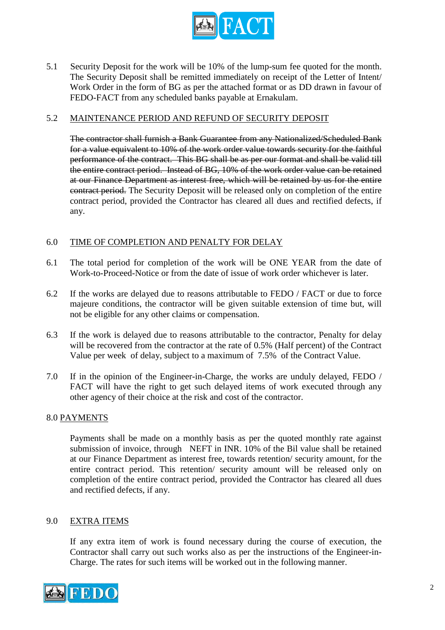

5.1 Security Deposit for the work will be 10% of the lump-sum fee quoted for the month. The Security Deposit shall be remitted immediately on receipt of the Letter of Intent/ Work Order in the form of BG as per the attached format or as DD drawn in favour of FEDO-FACT from any scheduled banks payable at Ernakulam.

# 5.2 MAINTENANCE PERIOD AND REFUND OF SECURITY DEPOSIT

The contractor shall furnish a Bank Guarantee from any Nationalized/Scheduled Bank for a value equivalent to 10% of the work order value towards security for the faithful performance of the contract. This BG shall be as per our format and shall be valid till the entire contract period. Instead of BG, 10% of the work order value can be retained at our Finance Department as interest free, which will be retained by us for the entire contract period. The Security Deposit will be released only on completion of the entire contract period, provided the Contractor has cleared all dues and rectified defects, if any.

# 6.0 TIME OF COMPLETION AND PENALTY FOR DELAY

- 6.1 The total period for completion of the work will be ONE YEAR from the date of Work-to-Proceed-Notice or from the date of issue of work order whichever is later.
- 6.2 If the works are delayed due to reasons attributable to FEDO / FACT or due to force majeure conditions, the contractor will be given suitable extension of time but, will not be eligible for any other claims or compensation.
- 6.3 If the work is delayed due to reasons attributable to the contractor, Penalty for delay will be recovered from the contractor at the rate of 0.5% (Half percent) of the Contract Value per week of delay, subject to a maximum of 7.5% of the Contract Value.
- 7.0 If in the opinion of the Engineer-in-Charge, the works are unduly delayed, FEDO / FACT will have the right to get such delayed items of work executed through any other agency of their choice at the risk and cost of the contractor.

#### 8.0 PAYMENTS

Payments shall be made on a monthly basis as per the quoted monthly rate against submission of invoice, through NEFT in INR. 10% of the Bil value shall be retained at our Finance Department as interest free, towards retention/ security amount, for the entire contract period. This retention/ security amount will be released only on completion of the entire contract period, provided the Contractor has cleared all dues and rectified defects, if any.

## 9.0 EXTRA ITEMS

If any extra item of work is found necessary during the course of execution, the Contractor shall carry out such works also as per the instructions of the Engineer-in-Charge. The rates for such items will be worked out in the following manner.

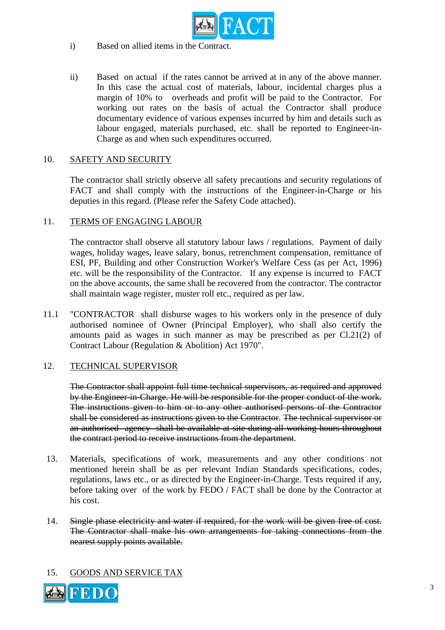

- i) Based on allied items in the Contract.
- ii) Based on actual if the rates cannot be arrived at in any of the above manner. In this case the actual cost of materials, labour, incidental charges plus a margin of 10% to overheads and profit will be paid to the Contractor. For working out rates on the basis of actual the Contractor shall produce documentary evidence of various expenses incurred by him and details such as labour engaged, materials purchased, etc. shall be reported to Engineer-in-Charge as and when such expenditures occurred.

# 10. SAFETY AND SECURITY

The contractor shall strictly observe all safety precautions and security regulations of FACT and shall comply with the instructions of the Engineer-in-Charge or his deputies in this regard. (Please refer the Safety Code attached).

# 11. TERMS OF ENGAGING LABOUR

The contractor shall observe all statutory labour laws / regulations. Payment of daily wages, holiday wages, leave salary, bonus, retrenchment compensation, remittance of ESI, PF, Building and other Construction Worker's Welfare Cess (as per Act, 1996) etc. will be the responsibility of the Contractor. If any expense is incurred to FACT on the above accounts, the same shall be recovered from the contractor. The contractor shall maintain wage register, muster roll etc., required as per law.

11.1 "CONTRACTOR shall disburse wages to his workers only in the presence of duly authorised nominee of Owner (Principal Employer), who shall also certify the amounts paid as wages in such manner as may be prescribed as per Cl.21(2) of Contract Labour (Regulation & Abolition) Act 1970".

# 12. TECHNICAL SUPERVISOR

The Contractor shall appoint full time technical supervisors, as required and approved by the Engineer-in-Charge. He will be responsible for the proper conduct of the work. The instructions given to him or to any other authorised persons of the Contractor shall be considered as instructions given to the Contractor. The technical supervisor or an authorised agency shall be available at site during all working hours throughout the contract period to receive instructions from the department.

- 13. Materials, specifications of work, measurements and any other conditions not mentioned herein shall be as per relevant Indian Standards specifications, codes, regulations, laws etc., or as directed by the Engineer-in-Charge. Tests required if any, before taking over of the work by FEDO / FACT shall be done by the Contractor at his cost.
- 14. Single phase electricity and water if required, for the work will be given free of cost. The Contractor shall make his own arrangements for taking connections from the nearest supply points available.

# 15. GOODS AND SERVICE TAX

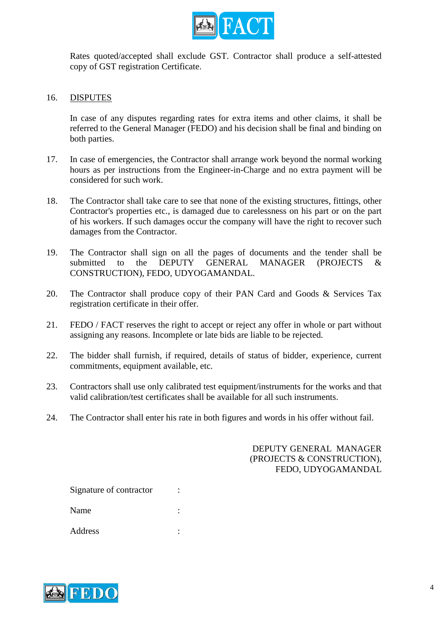

Rates quoted/accepted shall exclude GST. Contractor shall produce a self-attested copy of GST registration Certificate.

# 16. DISPUTES

In case of any disputes regarding rates for extra items and other claims, it shall be referred to the General Manager (FEDO) and his decision shall be final and binding on both parties.

- 17. In case of emergencies, the Contractor shall arrange work beyond the normal working hours as per instructions from the Engineer-in-Charge and no extra payment will be considered for such work.
- 18. The Contractor shall take care to see that none of the existing structures, fittings, other Contractor's properties etc., is damaged due to carelessness on his part or on the part of his workers. If such damages occur the company will have the right to recover such damages from the Contractor.
- 19. The Contractor shall sign on all the pages of documents and the tender shall be submitted to the DEPUTY GENERAL MANAGER (PROJECTS & CONSTRUCTION), FEDO, UDYOGAMANDAL.
- 20. The Contractor shall produce copy of their PAN Card and Goods & Services Tax registration certificate in their offer.
- 21. FEDO / FACT reserves the right to accept or reject any offer in whole or part without assigning any reasons. Incomplete or late bids are liable to be rejected.
- 22. The bidder shall furnish, if required, details of status of bidder, experience, current commitments, equipment available, etc.
- 23. Contractors shall use only calibrated test equipment/instruments for the works and that valid calibration/test certificates shall be available for all such instruments.
- 24. The Contractor shall enter his rate in both figures and words in his offer without fail.

# DEPUTY GENERAL MANAGER (PROJECTS & CONSTRUCTION), FEDO, UDYOGAMANDAL

Signature of contractor : Name : Address :

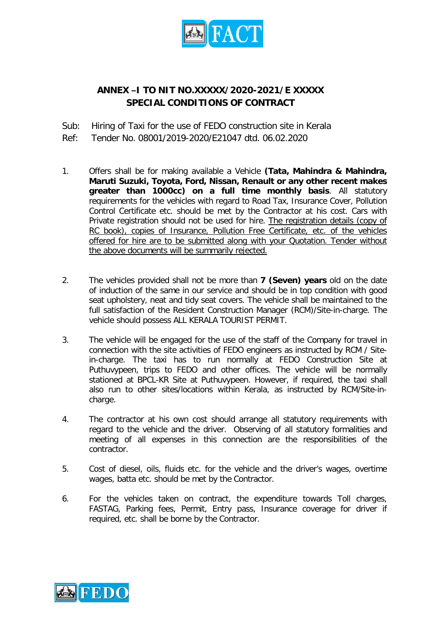

# **ANNEX –I TO NIT NO.XXXXX/2020-2021/E XXXXX SPECIAL CONDITIONS OF CONTRACT**

Sub: Hiring of Taxi for the use of FEDO construction site in Kerala

Ref: Tender No. 08001/2019-2020/E21047 dtd. 06.02.2020

- 1. Offers shall be for making available a Vehicle **(Tata, Mahindra & Mahindra, Maruti Suzuki, Toyota, Ford, Nissan, Renault or any other recent makes greater than 1000cc) on a full time monthly basis**. All statutory requirements for the vehicles with regard to Road Tax, Insurance Cover, Pollution Control Certificate etc. should be met by the Contractor at his cost. Cars with Private registration should not be used for hire. The registration details (copy of RC book), copies of Insurance, Pollution Free Certificate, etc. of the vehicles offered for hire are to be submitted along with your Quotation. Tender without the above documents will be summarily rejected.
- 2. The vehicles provided shall not be more than **7 (Seven) years** old on the date of induction of the same in our service and should be in top condition with good seat upholstery, neat and tidy seat covers. The vehicle shall be maintained to the full satisfaction of the Resident Construction Manager (RCM)/Site-in-charge. The vehicle should possess ALL KERALA TOURIST PERMIT.
- 3. The vehicle will be engaged for the use of the staff of the Company for travel in connection with the site activities of FEDO engineers as instructed by RCM / Sitein-charge. The taxi has to run normally at FEDO Construction Site at Puthuvypeen, trips to FEDO and other offices. The vehicle will be normally stationed at BPCL-KR Site at Puthuvypeen. However, if required, the taxi shall also run to other sites/locations within Kerala, as instructed by RCM/Site-incharge.
- 4. The contractor at his own cost should arrange all statutory requirements with regard to the vehicle and the driver. Observing of all statutory formalities and meeting of all expenses in this connection are the responsibilities of the contractor.
- 5. Cost of diesel, oils, fluids etc. for the vehicle and the driver's wages, overtime wages, batta etc. should be met by the Contractor.
- 6. For the vehicles taken on contract, the expenditure towards Toll charges, FASTAG, Parking fees, Permit, Entry pass, Insurance coverage for driver if required, etc. shall be borne by the Contractor.

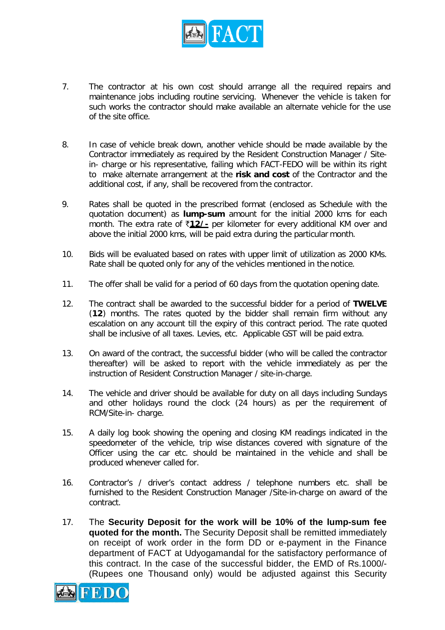

- 7. The contractor at his own cost should arrange all the required repairs and maintenance jobs including routine servicing. Whenever the vehicle is taken for such works the contractor should make available an alternate vehicle for the use of the site office.
- 8. In case of vehicle break down, another vehicle should be made available by the Contractor immediately as required by the Resident Construction Manager / Sitein- charge or his representative, failing which FACT-FEDO will be within its right to make alternate arrangement at the **risk and cost** of the Contractor and the additional cost, if any, shall be recovered from the contractor.
- 9. Rates shall be quoted in the prescribed format (enclosed as Schedule with the quotation document) as **lump-sum** amount for the initial 2000 kms for each month. The extra rate of `**12/-** per kilometer for every additional KM over and above the initial 2000 kms, will be paid extra during the particular month.
- 10. Bids will be evaluated based on rates with upper limit of utilization as 2000 KMs. Rate shall be quoted only for any of the vehicles mentioned in the notice.
- 11. The offer shall be valid for a period of 60 days from the quotation opening date.
- 12. The contract shall be awarded to the successful bidder for a period of **TWELVE** (**12**) months. The rates quoted by the bidder shall remain firm without any escalation on any account till the expiry of this contract period. The rate quoted shall be inclusive of all taxes. Levies, etc. Applicable GST will be paid extra.
- 13. On award of the contract, the successful bidder (who will be called the contractor thereafter) will be asked to report with the vehicle immediately as per the instruction of Resident Construction Manager / site-in-charge.
- 14. The vehicle and driver should be available for duty on all days including Sundays and other holidays round the clock (24 hours) as per the requirement of RCM/Site-in- charge.
- 15. A daily log book showing the opening and closing KM readings indicated in the speedometer of the vehicle, trip wise distances covered with signature of the Officer using the car etc. should be maintained in the vehicle and shall be produced whenever called for.
- 16. Contractor's / driver's contact address / telephone numbers etc. shall be furnished to the Resident Construction Manager /Site-in-charge on award of the contract.
- 17. The **Security Deposit for the work will be 10% of the lump-sum fee quoted for the month.** The Security Deposit shall be remitted immediately on receipt of work order in the form DD or e-payment in the Finance department of FACT at Udyogamandal for the satisfactory performance of this contract. In the case of the successful bidder, the EMD of Rs.1000/- (Rupees one Thousand only) would be adjusted against this Security

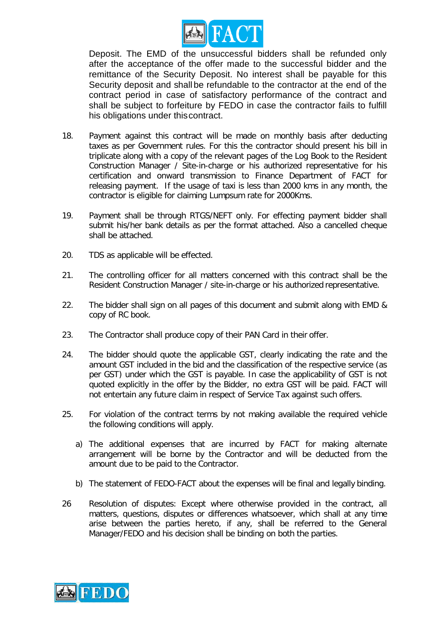

Deposit. The EMD of the unsuccessful bidders shall be refunded only after the acceptance of the offer made to the successful bidder and the remittance of the Security Deposit. No interest shall be payable for this Security deposit and shall be refundable to the contractor at the end of the contract period in case of satisfactory performance of the contract and shall be subject to forfeiture by FEDO in case the contractor fails to fulfill his obligations under thiscontract.

- 18. Payment against this contract will be made on monthly basis after deducting taxes as per Government rules. For this the contractor should present his bill in triplicate along with a copy of the relevant pages of the Log Book to the Resident Construction Manager / Site-in-charge or his authorized representative for his certification and onward transmission to Finance Department of FACT for releasing payment. If the usage of taxi is less than 2000 kms in any month, the contractor is eligible for claiming Lumpsum rate for 2000Kms.
- 19. Payment shall be through RTGS/NEFT only. For effecting payment bidder shall submit his/her bank details as per the format attached. Also a cancelled cheque shall be attached.
- 20. TDS as applicable will be effected.
- 21. The controlling officer for all matters concerned with this contract shall be the Resident Construction Manager / site-in-charge or his authorized representative.
- 22. The bidder shall sign on all pages of this document and submit along with EMD & copy of RC book.
- 23. The Contractor shall produce copy of their PAN Card in their offer.
- 24. The bidder should quote the applicable GST, clearly indicating the rate and the amount GST included in the bid and the classification of the respective service (as per GST) under which the GST is payable. In case the applicability of GST is not quoted explicitly in the offer by the Bidder, no extra GST will be paid. FACT will not entertain any future claim in respect of Service Tax against such offers.
- 25. For violation of the contract terms by not making available the required vehicle the following conditions will apply.
	- a) The additional expenses that are incurred by FACT for making alternate arrangement will be borne by the Contractor and will be deducted from the amount due to be paid to the Contractor.
	- b) The statement of FEDO-FACT about the expenses will be final and legally binding.
- 26 Resolution of disputes: Except where otherwise provided in the contract, all matters, questions, disputes or differences whatsoever, which shall at any time arise between the parties hereto, if any, shall be referred to the General Manager/FEDO and his decision shall be binding on both the parties.

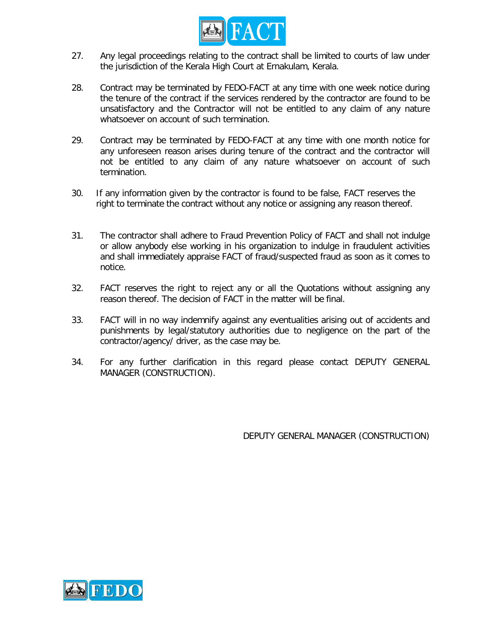

- 27. Any legal proceedings relating to the contract shall be limited to courts of law under the jurisdiction of the Kerala High Court at Ernakulam, Kerala.
- 28. Contract may be terminated by FEDO-FACT at any time with one week notice during the tenure of the contract if the services rendered by the contractor are found to be unsatisfactory and the Contractor will not be entitled to any claim of any nature whatsoever on account of such termination.
- 29. Contract may be terminated by FEDO-FACT at any time with one month notice for any unforeseen reason arises during tenure of the contract and the contractor will not be entitled to any claim of any nature whatsoever on account of such termination.
- 30. If any information given by the contractor is found to be false, FACT reserves the right to terminate the contract without any notice or assigning any reason thereof.
- 31. The contractor shall adhere to Fraud Prevention Policy of FACT and shall not indulge or allow anybody else working in his organization to indulge in fraudulent activities and shall immediately appraise FACT of fraud/suspected fraud as soon as it comes to notice.
- 32. FACT reserves the right to reject any or all the Quotations without assigning any reason thereof. The decision of FACT in the matter will be final.
- 33. FACT will in no way indemnify against any eventualities arising out of accidents and punishments by legal/statutory authorities due to negligence on the part of the contractor/agency/ driver, as the case may be.
- 34. For any further clarification in this regard please contact DEPUTY GENERAL MANAGER (CONSTRUCTION).

DEPUTY GENERAL MANAGER (CONSTRUCTION)

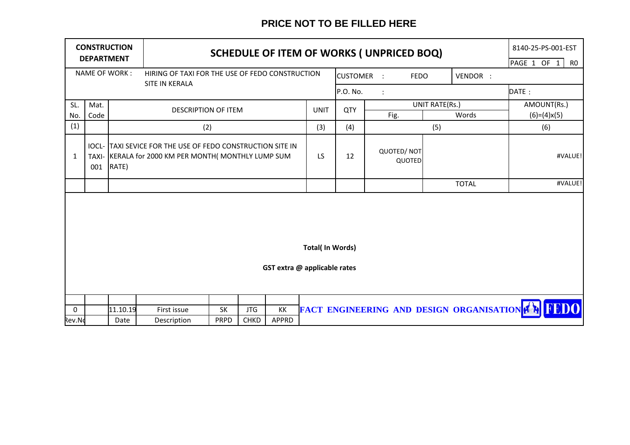# **PRICE NOT TO BE FILLED HERE**

| <b>CONSTRUCTION</b><br><b>DEPARTMENT</b> |                                                                  |                  | SCHEDULE OF ITEM OF WORKS (UNPRICED BOQ)                                                                           |                   |                           |             |                 |            |                                    | 8140-25-PS-001-EST<br>PAGE 1 OF 1 |                | R <sub>0</sub>                                      |             |               |             |  |
|------------------------------------------|------------------------------------------------------------------|------------------|--------------------------------------------------------------------------------------------------------------------|-------------------|---------------------------|-------------|-----------------|------------|------------------------------------|-----------------------------------|----------------|-----------------------------------------------------|-------------|---------------|-------------|--|
|                                          | NAME OF WORK:<br>HIRING OF TAXI FOR THE USE OF FEDO CONSTRUCTION |                  |                                                                                                                    |                   |                           |             | <b>CUSTOMER</b> | $\sim$ 1   | <b>FEDO</b>                        |                                   | VENDOR :       |                                                     |             |               |             |  |
|                                          |                                                                  |                  | SITE IN KERALA                                                                                                     |                   |                           |             |                 | P.O. No.   |                                    |                                   |                |                                                     | DATE:       |               |             |  |
| SL.                                      | Mat.                                                             |                  | <b>DESCRIPTION OF ITEM</b>                                                                                         |                   |                           |             | <b>UNIT</b>     | <b>QTY</b> |                                    |                                   | UNIT RATE(Rs.) |                                                     | AMOUNT(Rs.) |               |             |  |
| No.                                      | Code                                                             |                  |                                                                                                                    |                   |                           |             |                 |            |                                    | Fig.                              |                | Words                                               |             | $(6)=(4)x(5)$ |             |  |
| (1)                                      |                                                                  |                  |                                                                                                                    | (2)               |                           |             | (3)             | (4)        |                                    |                                   | (5)            |                                                     |             | (6)           |             |  |
| $\mathbf{1}$                             | 001                                                              | RATE)            | IOCL- TAXI SEVICE FOR THE USE OF FEDO CONSTRUCTION SITE IN<br>TAXI- KERALA for 2000 KM PER MONTH( MONTHLY LUMP SUM |                   |                           | LS.         | 12              |            | <b>QUOTED/NOT</b><br><b>QUOTED</b> |                                   |                |                                                     |             | #VALUE!       |             |  |
|                                          |                                                                  |                  |                                                                                                                    |                   |                           |             |                 |            |                                    |                                   |                | <b>TOTAL</b>                                        |             |               | #VALUE!     |  |
|                                          | <b>Total(In Words)</b><br>GST extra @ applicable rates           |                  |                                                                                                                    |                   |                           |             |                 |            |                                    |                                   |                |                                                     |             |               |             |  |
| $\mathbf 0$<br>Rev.No                    |                                                                  | 11.10.19<br>Date | First issue<br>Description                                                                                         | SK<br><b>PRPD</b> | <b>JTG</b><br><b>CHKD</b> | KK<br>APPRD |                 |            |                                    |                                   |                | <b>FACT ENGINEERING AND DESIGN ORGANISATION FOR</b> |             |               | <b>FEDO</b> |  |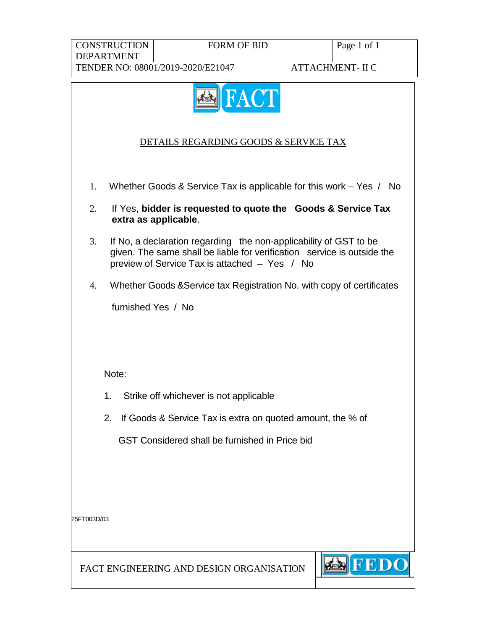**CONSTRUCTION** DEPARTMENT

# FORM OF BID Page 1 of 1

TENDER NO: 08001/2019-2020/E21047 ATTACHMENT- II C

die

**FED** 



# DETAILS REGARDING GOODS & SERVICE TAX

- 1. Whether Goods & Service Tax is applicable for this work Yes / No
- 2. If Yes, **bidder is requested to quote the Goods & Service Tax extra as applicable**.
- 3. If No, a declaration regarding the non-applicability of GST to be given. The same shall be liable for verification service is outside the preview of Service Tax is attached – Yes / No
- 4. Whether Goods &Service tax Registration No. with copy of certificates

furnished Yes / No

Note:

- 1. Strike off whichever is not applicable
- 2. If Goods & Service Tax is extra on quoted amount, the % of

GST Considered shall be furnished in Price bid

25FT003D/03

FACT ENGINEERING AND DESIGN ORGANISATION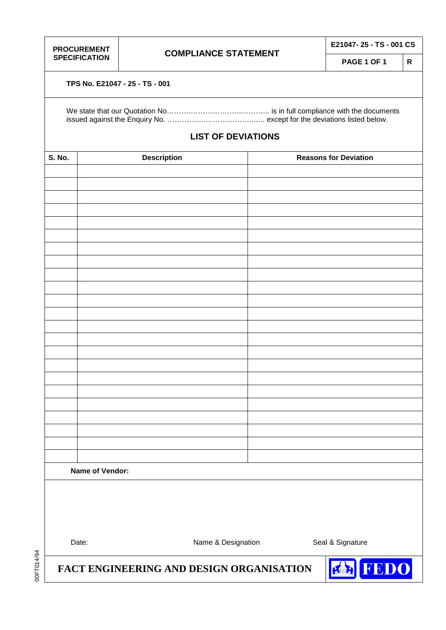**PROCUREMENT** 

**PAGE 1 OF 1 R**

#### **TPS No. E21047 - 25 - TS - 001**

# **LIST OF DEVIATIONS**

| <b>S. No.</b> | Description     | <b>Reasons for Deviation</b> |
|---------------|-----------------|------------------------------|
|               |                 |                              |
|               |                 |                              |
|               |                 |                              |
|               |                 |                              |
|               |                 |                              |
|               |                 |                              |
|               |                 |                              |
|               |                 |                              |
|               |                 |                              |
|               |                 |                              |
|               |                 |                              |
|               |                 |                              |
|               |                 |                              |
|               |                 |                              |
|               |                 |                              |
|               |                 |                              |
|               |                 |                              |
|               |                 |                              |
|               |                 |                              |
|               |                 |                              |
|               |                 |                              |
|               |                 |                              |
|               |                 |                              |
|               | Name of Vendor: |                              |
|               |                 |                              |

00FT014/94

00FT014/94

Date: Case of the Summer Mame & Designation Seal & Signature

**FACT ENGINEERING AND DESIGN ORGANISATION**

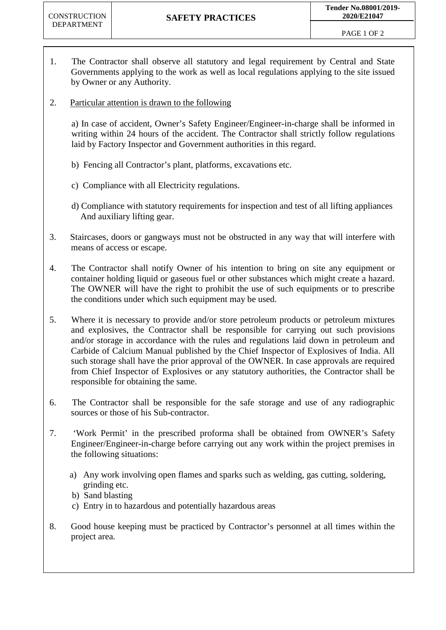- 1. The Contractor shall observe all statutory and legal requirement by Central and State Governments applying to the work as well as local regulations applying to the site issued by Owner or any Authority.
- 2. Particular attention is drawn to the following

a) In case of accident, Owner's Safety Engineer/Engineer-in-charge shall be informed in writing within 24 hours of the accident. The Contractor shall strictly follow regulations laid by Factory Inspector and Government authorities in this regard.

- b) Fencing all Contractor's plant, platforms, excavations etc.
- c) Compliance with all Electricity regulations.
- d) Compliance with statutory requirements for inspection and test of all lifting appliances And auxiliary lifting gear.
- 3. Staircases, doors or gangways must not be obstructed in any way that will interfere with means of access or escape.
- 4. The Contractor shall notify Owner of his intention to bring on site any equipment or container holding liquid or gaseous fuel or other substances which might create a hazard. The OWNER will have the right to prohibit the use of such equipments or to prescribe the conditions under which such equipment may be used.
- 5. Where it is necessary to provide and/or store petroleum products or petroleum mixtures and explosives, the Contractor shall be responsible for carrying out such provisions and/or storage in accordance with the rules and regulations laid down in petroleum and Carbide of Calcium Manual published by the Chief Inspector of Explosives of India. All such storage shall have the prior approval of the OWNER. In case approvals are required from Chief Inspector of Explosives or any statutory authorities, the Contractor shall be responsible for obtaining the same.
- 6. The Contractor shall be responsible for the safe storage and use of any radiographic sources or those of his Sub-contractor.
- 7. 'Work Permit' in the prescribed proforma shall be obtained from OWNER's Safety Engineer/Engineer-in-charge before carrying out any work within the project premises in the following situations:
	- a) Any work involving open flames and sparks such as welding, gas cutting, soldering, grinding etc.
	- b) Sand blasting
	- c) Entry in to hazardous and potentially hazardous areas
- 8. Good house keeping must be practiced by Contractor's personnel at all times within the project area.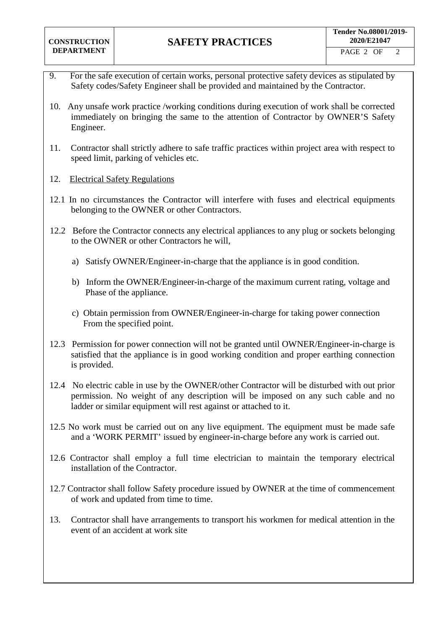- 9. For the safe execution of certain works, personal protective safety devices as stipulated by Safety codes/Safety Engineer shall be provided and maintained by the Contractor.
- 10. Any unsafe work practice /working conditions during execution of work shall be corrected immediately on bringing the same to the attention of Contractor by OWNER'S Safety Engineer.
- 11. Contractor shall strictly adhere to safe traffic practices within project area with respect to speed limit, parking of vehicles etc.
- 12. Electrical Safety Regulations
- 12.1 In no circumstances the Contractor will interfere with fuses and electrical equipments belonging to the OWNER or other Contractors.
- 12.2 Before the Contractor connects any electrical appliances to any plug or sockets belonging to the OWNER or other Contractors he will,
	- a) Satisfy OWNER/Engineer-in-charge that the appliance is in good condition.
	- b) Inform the OWNER/Engineer-in-charge of the maximum current rating, voltage and Phase of the appliance.
	- c) Obtain permission from OWNER/Engineer-in-charge for taking power connection From the specified point.
- 12.3 Permission for power connection will not be granted until OWNER/Engineer-in-charge is satisfied that the appliance is in good working condition and proper earthing connection is provided.
- 12.4 No electric cable in use by the OWNER/other Contractor will be disturbed with out prior permission. No weight of any description will be imposed on any such cable and no ladder or similar equipment will rest against or attached to it.
- 12.5 No work must be carried out on any live equipment. The equipment must be made safe and a 'WORK PERMIT' issued by engineer-in-charge before any work is carried out.
- 12.6 Contractor shall employ a full time electrician to maintain the temporary electrical installation of the Contractor.
- 12.7 Contractor shall follow Safety procedure issued by OWNER at the time of commencement of work and updated from time to time.
- 13. Contractor shall have arrangements to transport his workmen for medical attention in the event of an accident at work site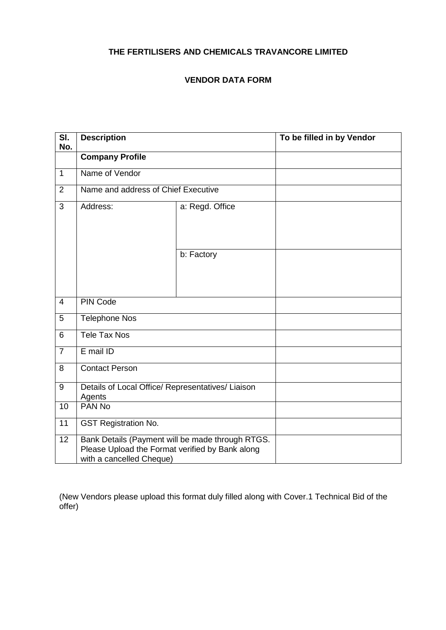# **THE FERTILISERS AND CHEMICALS TRAVANCORE LIMITED**

# **VENDOR DATA FORM**

| $\overline{\mathsf{SI}}$ .<br>No. | <b>Description</b>                                                          | To be filled in by Vendor                        |  |
|-----------------------------------|-----------------------------------------------------------------------------|--------------------------------------------------|--|
|                                   | <b>Company Profile</b>                                                      |                                                  |  |
| $\mathbf{1}$                      | Name of Vendor                                                              |                                                  |  |
| $\overline{2}$                    | Name and address of Chief Executive                                         |                                                  |  |
| 3                                 | Address:<br>a: Regd. Office                                                 |                                                  |  |
|                                   |                                                                             | b: Factory                                       |  |
| $\overline{4}$                    | <b>PIN Code</b>                                                             |                                                  |  |
| 5                                 | <b>Telephone Nos</b>                                                        |                                                  |  |
| $6\phantom{1}$                    | <b>Tele Tax Nos</b>                                                         |                                                  |  |
| $\overline{7}$                    | E mail ID                                                                   |                                                  |  |
| 8                                 | <b>Contact Person</b>                                                       |                                                  |  |
| 9                                 | Details of Local Office/ Representatives/ Liaison<br>Agents                 |                                                  |  |
| 10                                | PAN No                                                                      |                                                  |  |
| 11                                | <b>GST Registration No.</b>                                                 |                                                  |  |
| 12                                | Please Upload the Format verified by Bank along<br>with a cancelled Cheque) | Bank Details (Payment will be made through RTGS. |  |

(New Vendors please upload this format duly filled along with Cover.1 Technical Bid of the offer)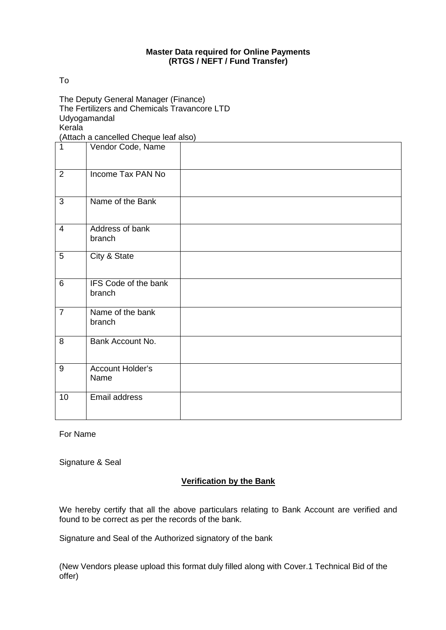#### **Master Data required for Online Payments (RTGS / NEFT / Fund Transfer)**

To

The Deputy General Manager (Finance) The Fertilizers and Chemicals Travancore LTD Udyogamandal Kerala

(Attach a cancelled Cheque leaf also)

| $\mathbf 1$    | Vendor Code, Name              |  |
|----------------|--------------------------------|--|
| $\overline{2}$ | Income Tax PAN No              |  |
| $\overline{3}$ | Name of the Bank               |  |
| $\overline{4}$ | Address of bank<br>branch      |  |
| $\overline{5}$ | City & State                   |  |
| $6\phantom{1}$ | IFS Code of the bank<br>branch |  |
| $\overline{7}$ | Name of the bank<br>branch     |  |
| 8              | Bank Account No.               |  |
| 9              | Account Holder's<br>Name       |  |
| 10             | Email address                  |  |

For Name

Signature & Seal

# **Verification by the Bank**

We hereby certify that all the above particulars relating to Bank Account are verified and found to be correct as per the records of the bank.

Signature and Seal of the Authorized signatory of the bank

(New Vendors please upload this format duly filled along with Cover.1 Technical Bid of the offer)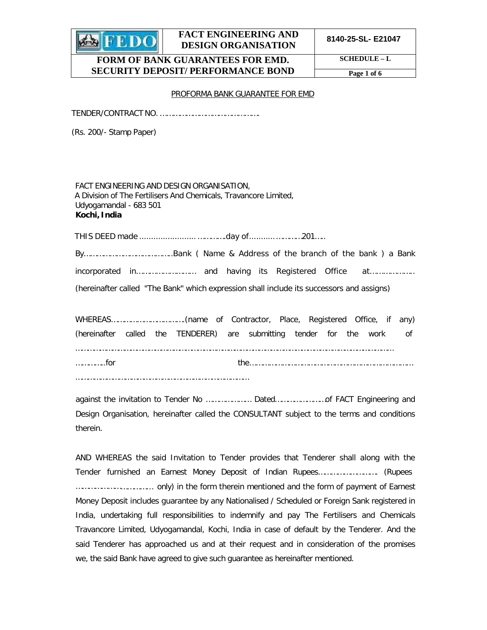

**8140-25-SL- E21047**

## **FORM OF BANK GUARANTEES FOR EMD. SECURITY DEPOSIT/ PERFORMANCE BOND**

**SCHEDULE – L**

**Page 1 of 6**

#### PROFORMA BANK GUARANTEE FOR EMD

TENDER/CONTRACT NO. ……………………………………….

(Rs. 200/- Stamp Paper)

FACT ENGINEERING AND DESIGN ORGANISATION, A Division of The Fertilisers And Chemicals, Travancore Limited, Udyogamandal - 683 501 **Kochi, India**

THIS DEED made ........................ ………….day of........... …………201…..

By…………………………………..Bank ( Name & Address of the branch of the bank ) a Bank incorporated in……………………… and having its Registered Office at……………….. (hereinafter called "The Bank" which expression shall include its successors and assigns)

| (hereinafter called the TENDERER) are submitting tender for the work of |  |  |  |  |  |  |  |
|-------------------------------------------------------------------------|--|--|--|--|--|--|--|
|                                                                         |  |  |  |  |  |  |  |
| . for                                                                   |  |  |  |  |  |  |  |

…………………………………………………………………………

against the invitation to Tender No ………………… Dated……………………of FACT Engineering and Design Organisation, hereinafter called the CONSULTANT subject to the terms and conditions therein.

AND WHEREAS the said Invitation to Tender provides that Tenderer shall along with the Tender furnished an Earnest Money Deposit of Indian Rupees………………………. (Rupees ……………………………… only) in the form therein mentioned and the form of payment of Earnest Money Deposit includes guarantee by any Nationalised / Scheduled or Foreign Sank registered in India, undertaking full responsibilities to indemnify and pay The Fertilisers and Chemicals Travancore Limited, Udyogamandal, Kochi, India in case of default by the Tenderer. And the said Tenderer has approached us and at their request and in consideration of the promises we, the said Bank have agreed to give such guarantee as hereinafter mentioned.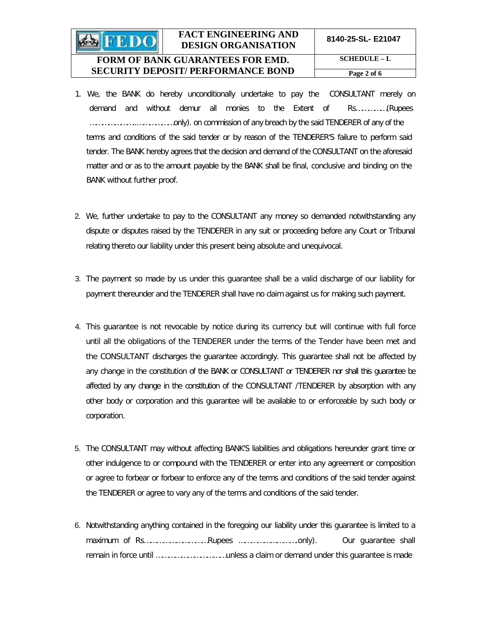# **FORM OF BANK GUARANTEES FOR EMD. SECURITY DEPOSIT/ PERFORMANCE BOND**

**SCHEDULE – L Page 2 of 6**

- 1. We, the BANK do hereby unconditionally undertake to pay the CONSULTANT merely on demand and without demur all monies to the Extent of Rs……………(Rupees …………………..………………only). on commission of any breach by the said TENDERER of any of the terms and conditions of the said tender or by reason of the TENDERER'S failure to perform said tender. The BANK hereby agrees that the decision and demand of the CONSULTANT on the aforesaid matter and or as to the amount payable by the BANK shall be final, conclusive and binding on the BANK without further proof.
- 2. We, further undertake to pay to the CONSULTANT any money so demanded notwithstanding any dispute or disputes raised by the TENDERER in any suit or proceeding before any Court or Tribunal relating thereto our liability under this present being absolute and unequivocal.
- 3. The payment so made by us under this guarantee shall be a valid discharge of our liability for payment thereunder and the TENDERER shall have no claim against us for making such payment.
- 4. This guarantee is not revocable by notice during its currency but will continue with full force until all the obligations of the TENDERER under the terms of the Tender have been met and the CONSULTANT discharges the guarantee accordingly. This guarantee shall not be affected by any change in the constitution of the BANK or CONSULTANT or TENDERER nor shall this guarantee be affected by any change in the constitution of the CONSULTANT /TENDERER by absorption with any other body or corporation and this guarantee will be available to or enforceable by such body or corporation.
- 5. The CONSULTANT may without affecting BANK'S liabilities and obligations hereunder grant time or other indulgence to or compound with the TENDERER or enter into any agreement or composition or agree to forbear or forbear to enforce any of the terms and conditions of the said tender against the TENDERER or agree to vary any of the terms and conditions of the said tender.
- 6. Notwithstanding anything contained in the foregoing our liability under this guarantee is limited to a maximum of Rs…………………………Rupees ……………………….only). Our guarantee shall remain in force until ……………………………unless a claim or demand under this guarantee is made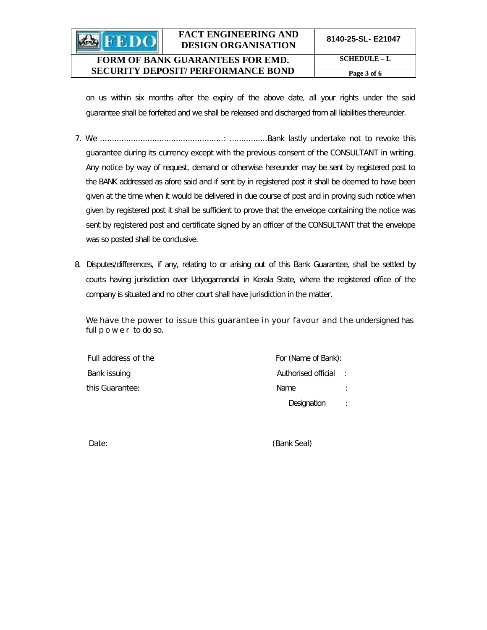**8140-25-SL- E21047**

# **FORM OF BANK GUARANTEES FOR EMD. SECURITY DEPOSIT/ PERFORMANCE BOND**

**SHEDO** 

**SCHEDULE – L Page 3 of 6**

on us within six months after the expiry of the above date, all your rights under the said guarantee shall be forfeited and we shall be released and discharged from all liabilities thereunder.

- 7. We ....................................................: ................Bank lastly undertake not to revoke this guarantee during its currency except with the previous consent of the CONSULTANT in writing. Any notice by way of request, demand or otherwise hereunder may be sent by registered post to the BANK addressed as afore said and if sent by in registered post it shall be deemed to have been given at the time when it would be delivered in due course of post and in proving such notice when given by registered post it shall be sufficient to prove that the envelope containing the notice was sent by registered post and certificate signed by an officer of the CONSULTANT that the envelope was so posted shall be conclusive.
- 8. Disputes/differences, if any, relating to or arising out of this Bank Guarantee, shall be settled by courts having jurisdiction over Udyogamandal in Kerala State, where the registered office of the company is situated and no other court shall have jurisdiction in the matter.

We have the power to issue this quarantee in your favour and the undersigned has full power to do so.

| Full address of the | For (Name of Bank): |   |
|---------------------|---------------------|---|
| Bank issuing        | Authorised official |   |
| this Guarantee:     | <b>Name</b>         |   |
|                     | Designation         | ÷ |

Date: (Bank Seal)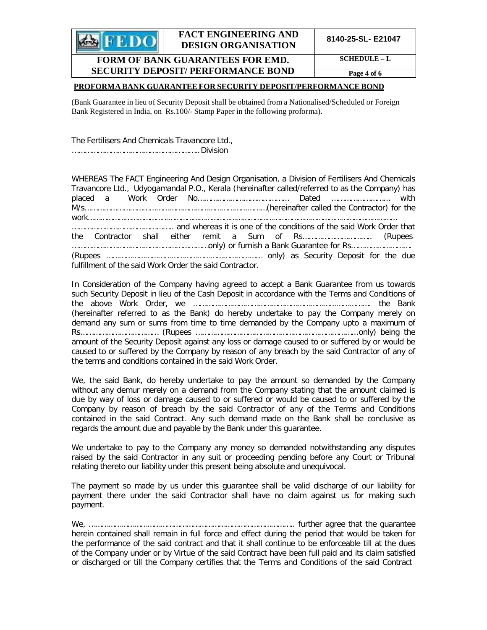

**8140-25-SL- E21047**

#### **FORM OF BANK GUARANTEES FOR EMD. SECURITY DEPOSIT/ PERFORMANCE BOND**

**SCHEDULE – L**

**Page 4 of 6**

#### **PROFORMA BANK GUARANTEE FOR SECURITY DEPOSIT/PERFORMANCE BOND**

(Bank Guarantee in lieu of Security Deposit shall be obtained from a Nationalised/Scheduled or Foreign Bank Registered in India, on Rs.100/- Stamp Paper in the following proforma).

The Fertilisers And Chemicals Travancore Ltd., …………………………………………………..Division

WHEREAS The FACT Engineering And Design Organisation, a Division of Fertilisers And Chemicals Travancore Ltd., Udyogamandal P.O., Kerala (hereinafter called/referred to as the Company) has placed a Work Order No…………………………………… Dated ……………………… with M/s…………………………………………………………………………(hereinafter called the Contractor) for the work…………………………………………………………………………………………………………………………………… ……………………………………….. and whereas it is one of the conditions of the said Work Order that the Contractor shall either remit a Sum of Rs………………………….. (Rupees ………………………………………………………only) or furnish a Bank Guarantee for Rs………………………. (Rupees ……………………………………………………………… only) as Security Deposit for the due fulfillment of the said Work Order the said Contractor.

In Consideration of the Company having agreed to accept a Bank Guarantee from us towards such Security Deposit in lieu of the Cash Deposit in accordance with the Terms and Conditions of the above Work Order, we ………………………………………………………………………. the Bank (hereinafter referred to as the Bank) do hereby undertake to pay the Company merely on demand any sum or sums from time to time demanded by the Company upto a maximum of Rs……………………………… (Rupees ………………………………………………………………...only) being the amount of the Security Deposit against any loss or damage caused to or suffered by or would be caused to or suffered by the Company by reason of any breach by the said Contractor of any of the terms and conditions contained in the said Work Order.

We, the said Bank, do hereby undertake to pay the amount so demanded by the Company without any demur merely on a demand from the Company stating that the amount claimed is due by way of loss or damage caused to or suffered or would be caused to or suffered by the Company by reason of breach by the said Contractor of any of the Terms and Conditions contained in the said Contract. Any such demand made on the Bank shall be conclusive as regards the amount due and payable by the Bank under this guarantee.

We undertake to pay to the Company any money so demanded notwithstanding any disputes raised by the said Contractor in any suit or proceeding pending before any Court or Tribunal relating thereto our liability under this present being absolute and unequivocal.

The payment so made by us under this guarantee shall be valid discharge of our liability for payment there under the said Contractor shall have no claim against us for making such payment.

We, ………………………………………………………………………………….. further agree that the guarantee herein contained shall remain in full force and effect during the period that would be taken for the performance of the said contract and that it shall continue to be enforceable till at the dues of the Company under or by Virtue of the said Contract have been full paid and its claim satisfied or discharged or till the Company certifies that the Terms and Conditions of the said Contract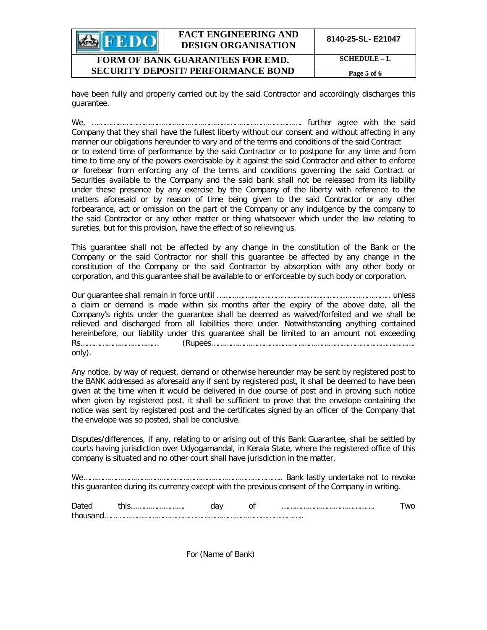|                                         | <b>FACT ENGINEERING AND</b><br><b>DESIGN ORGANISATION</b> | 8140-25-SL- E21047 |
|-----------------------------------------|-----------------------------------------------------------|--------------------|
| <b>FORM OF BANK GUARANTEES FOR EMD.</b> | $SCHEDULE-L$                                              |                    |
|                                         | <b>SECURITY DEPOSIT/ PERFORMANCE BOND</b>                 | Page 5 of 6        |

have been fully and properly carried out by the said Contractor and accordingly discharges this guarantee.

We, ……………………………………………………………………………………. further agree with the said Company that they shall have the fullest liberty without our consent and without affecting in any manner our obligations hereunder to vary and of the terms and conditions of the said Contract or to extend time of performance by the said Contractor or to postpone for any time and from time to time any of the powers exercisable by it against the said Contractor and either to enforce or forebear from enforcing any of the terms and conditions governing the said Contract or Securities available to the Company and the said bank shall not be released from its liability under these presence by any exercise by the Company of the liberty with reference to the matters aforesaid or by reason of time being given to the said Contractor or any other forbearance, act or omission on the part of the Company or any indulgence by the company to the said Contractor or any other matter or thing whatsoever which under the law relating to sureties, but for this provision, have the effect of so relieving us.

This guarantee shall not be affected by any change in the constitution of the Bank or the Company or the said Contractor nor shall this guarantee be affected by any change in the constitution of the Company or the said Contractor by absorption with any other body or corporation, and this guarantee shall be available to or enforceable by such body or corporation.

Our guarantee shall remain in force until …………………………………………………………………….. unless a claim or demand is made within six months after the expiry of the above date, all the Company's rights under the guarantee shall be deemed as waived/forfeited and we shall be relieved and discharged from all liabilities there under. Notwithstanding anything contained hereinbefore, our liability under this guarantee shall be limited to an amount not exceeding Rs……………………………… (Rupees…………………………………………………………………………………. only).

Any notice, by way of request, demand or otherwise hereunder may be sent by registered post to the BANK addressed as aforesaid any if sent by registered post, it shall be deemed to have been given at the time when it would be delivered in due course of post and in proving such notice when given by registered post, it shall be sufficient to prove that the envelope containing the notice was sent by registered post and the certificates signed by an officer of the Company that the envelope was so posted, shall be conclusive.

Disputes/differences, if any, relating to or arising out of this Bank Guarantee, shall be settled by courts having jurisdiction over Udyogamandal, in Kerala State, where the registered office of this company is situated and no other court shall have jurisdiction in the matter.

We……………………………………………………………………………….. Bank lastly undertake not to revoke this guarantee during its currency except with the previous consent of the Company in writing.

| Jalen |  |  | WC. |
|-------|--|--|-----|
|       |  |  |     |

For (Name of Bank)